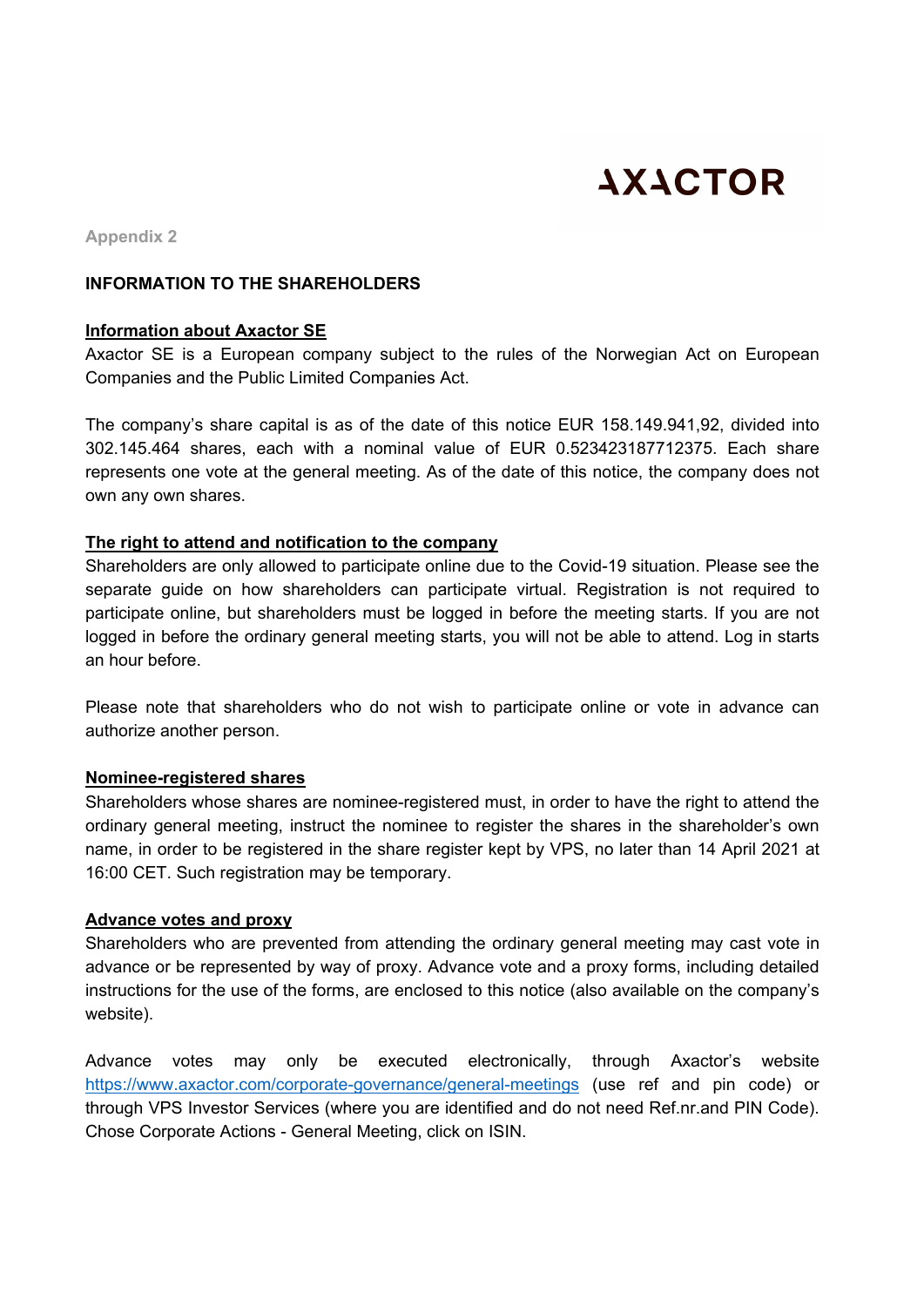# **AXACTOR**

**Appendix 2** 

## **INFORMATION TO THE SHAREHOLDERS**

### **Information about Axactor SE**

Axactor SE is a European company subject to the rules of the Norwegian Act on European Companies and the Public Limited Companies Act.

The company's share capital is as of the date of this notice EUR 158.149.941,92, divided into 302.145.464 shares, each with a nominal value of EUR 0.523423187712375. Each share represents one vote at the general meeting. As of the date of this notice, the company does not own any own shares.

### **The right to attend and notification to the company**

Shareholders are only allowed to participate online due to the Covid-19 situation. Please see the separate guide on how shareholders can participate virtual. Registration is not required to participate online, but shareholders must be logged in before the meeting starts. If you are not logged in before the ordinary general meeting starts, you will not be able to attend. Log in starts an hour before.

Please note that shareholders who do not wish to participate online or vote in advance can authorize another person.

#### **Nominee-registered shares**

Shareholders whose shares are nominee-registered must, in order to have the right to attend the ordinary general meeting, instruct the nominee to register the shares in the shareholder's own name, in order to be registered in the share register kept by VPS, no later than 14 April 2021 at 16:00 CET. Such registration may be temporary.

#### **Advance votes and proxy**

Shareholders who are prevented from attending the ordinary general meeting may cast vote in advance or be represented by way of proxy. Advance vote and a proxy forms, including detailed instructions for the use of the forms, are enclosed to this notice (also available on the company's website).

Advance votes may only be executed electronically, through Axactor's website https://www.axactor.com/corporate-governance/general-meetings (use ref and pin code) or through VPS Investor Services (where you are identified and do not need Ref.nr.and PIN Code). Chose Corporate Actions - General Meeting, click on ISIN.